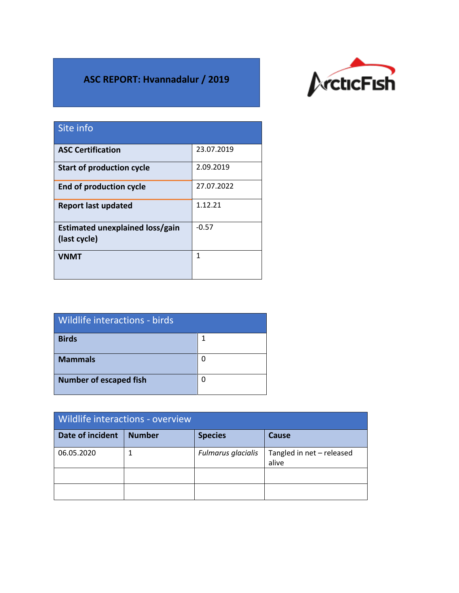## **ASC REPORT: Hvannadalur / 2019**



| Site info                                       |            |
|-------------------------------------------------|------------|
| <b>ASC Certification</b>                        | 23.07.2019 |
| <b>Start of production cycle</b>                | 2.09.2019  |
| <b>End of production cycle</b>                  | 27.07.2022 |
| <b>Report last updated</b>                      | 1.12.21    |
| Estimated unexplained loss/gain<br>(last cycle) | $-0.57$    |
| <b>VNMT</b>                                     | 1          |

| Wildlife interactions - birds |   |  |  |
|-------------------------------|---|--|--|
| <b>Birds</b>                  |   |  |  |
| <b>Mammals</b>                | O |  |  |
| <b>Number of escaped fish</b> | O |  |  |

| Wildlife interactions - overview |               |                    |                                    |  |
|----------------------------------|---------------|--------------------|------------------------------------|--|
| Date of incident                 | <b>Number</b> | <b>Species</b>     | <b>Cause</b>                       |  |
| 06.05.2020                       |               | Fulmarus glacialis | Tangled in net - released<br>alive |  |
|                                  |               |                    |                                    |  |
|                                  |               |                    |                                    |  |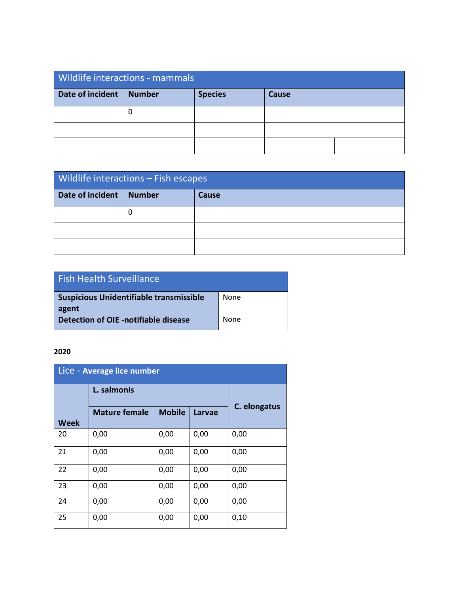| <b>Wildlife interactions - mammals</b> |               |                |       |  |
|----------------------------------------|---------------|----------------|-------|--|
| Date of incident                       | <b>Number</b> | <b>Species</b> | Cause |  |
|                                        |               |                |       |  |
|                                        |               |                |       |  |
|                                        |               |                |       |  |

| Wildlife interactions - Fish escapes |               |       |  |
|--------------------------------------|---------------|-------|--|
| Date of incident                     | <b>Number</b> | Cause |  |
|                                      |               |       |  |
|                                      |               |       |  |
|                                      |               |       |  |

| <b>Fish Health Surveillance</b>                         |      |
|---------------------------------------------------------|------|
| <b>Suspicious Unidentifiable transmissible</b><br>agent | None |
| Detection of OIE -notifiable disease                    | None |

## **2020**

| Lice - Average lice number |                      |               |        |              |
|----------------------------|----------------------|---------------|--------|--------------|
|                            | L. salmonis          |               |        |              |
| <b>Week</b>                | <b>Mature female</b> | <b>Mobile</b> | Larvae | C. elongatus |
| 20                         | 0,00                 | 0,00          | 0,00   | 0,00         |
| 21                         | 0,00                 | 0,00          | 0,00   | 0,00         |
| 22                         | 0,00                 | 0,00          | 0,00   | 0,00         |
| 23                         | 0,00                 | 0,00          | 0,00   | 0,00         |
| 24                         | 0,00                 | 0,00          | 0,00   | 0,00         |
| 25                         | 0,00                 | 0,00          | 0,00   | 0,10         |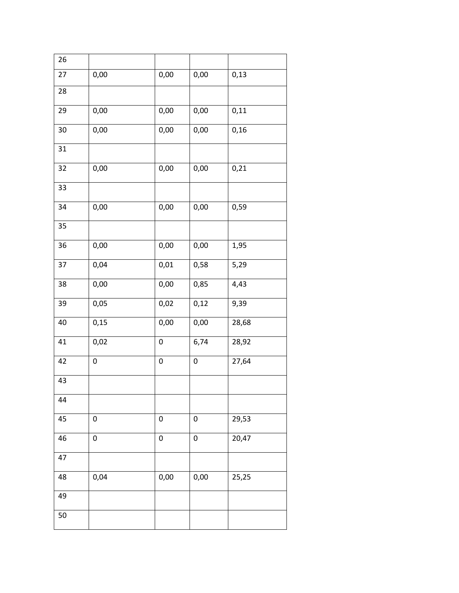| 26 |      |           |           |       |
|----|------|-----------|-----------|-------|
| 27 | 0,00 | 0,00      | 0,00      | 0,13  |
| 28 |      |           |           |       |
| 29 | 0,00 | $0,\!00$  | 0,00      | 0,11  |
| 30 | 0,00 | 0,00      | 0,00      | 0,16  |
| 31 |      |           |           |       |
| 32 | 0,00 | 0,00      | 0,00      | 0,21  |
| 33 |      |           |           |       |
| 34 | 0,00 | 0,00      | 0,00      | 0,59  |
| 35 |      |           |           |       |
| 36 | 0,00 | 0,00      | 0,00      | 1,95  |
| 37 | 0,04 | 0,01      | 0,58      | 5,29  |
| 38 | 0,00 | 0,00      | 0,85      | 4,43  |
| 39 | 0,05 | 0,02      | 0,12      | 9,39  |
| 40 | 0,15 | 0,00      | 0,00      | 28,68 |
| 41 | 0,02 | 0         | 6,74      | 28,92 |
| 42 | 0    | $\pmb{0}$ | 0         | 27,64 |
| 43 |      |           |           |       |
| 44 |      |           |           |       |
| 45 | 0    | $\pmb{0}$ | $\pmb{0}$ | 29,53 |
| 46 | 0    | $\pmb{0}$ | 0         | 20,47 |
| 47 |      |           |           |       |
| 48 | 0,04 | 0,00      | 0,00      | 25,25 |
| 49 |      |           |           |       |
| 50 |      |           |           |       |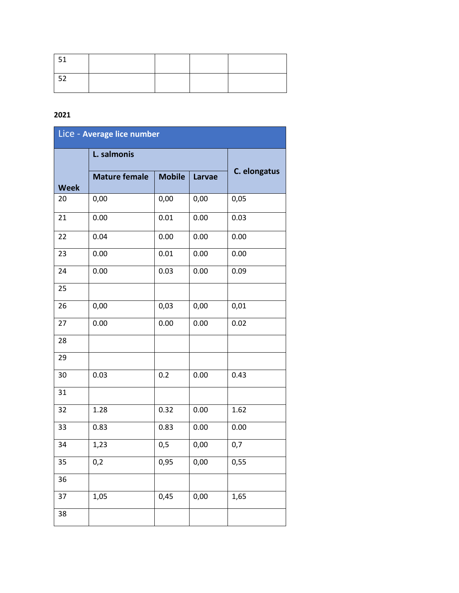## 

| Lice - Average lice number |                      |               |               |              |
|----------------------------|----------------------|---------------|---------------|--------------|
|                            | L. salmonis          |               |               |              |
| <b>Week</b>                | <b>Mature female</b> | <b>Mobile</b> | <b>Larvae</b> | C. elongatus |
| 20                         | 0,00                 | 0,00          | 0,00          | 0,05         |
| 21                         | 0.00                 | 0.01          | 0.00          | 0.03         |
| 22                         | 0.04                 | 0.00          | 0.00          | 0.00         |
| 23                         | 0.00                 | 0.01          | 0.00          | 0.00         |
| 24                         | 0.00                 | 0.03          | 0.00          | 0.09         |
| 25                         |                      |               |               |              |
| 26                         | 0,00                 | 0,03          | 0,00          | 0,01         |
| 27                         | 0.00                 | 0.00          | 0.00          | 0.02         |
| 28                         |                      |               |               |              |
| 29                         |                      |               |               |              |
| 30                         | 0.03                 | 0.2           | 0.00          | 0.43         |
| 31                         |                      |               |               |              |
| 32                         | 1.28                 | 0.32          | 0.00          | 1.62         |
| 33                         | 0.83                 | 0.83          | 0.00          | 0.00         |
| 34                         | 1,23                 | 0,5           | 0,00          | 0,7          |
| 35                         | 0,2                  | 0,95          | 0,00          | 0,55         |
| 36                         |                      |               |               |              |
| 37                         | 1,05                 | 0,45          | 0,00          | 1,65         |
| 38                         |                      |               |               |              |